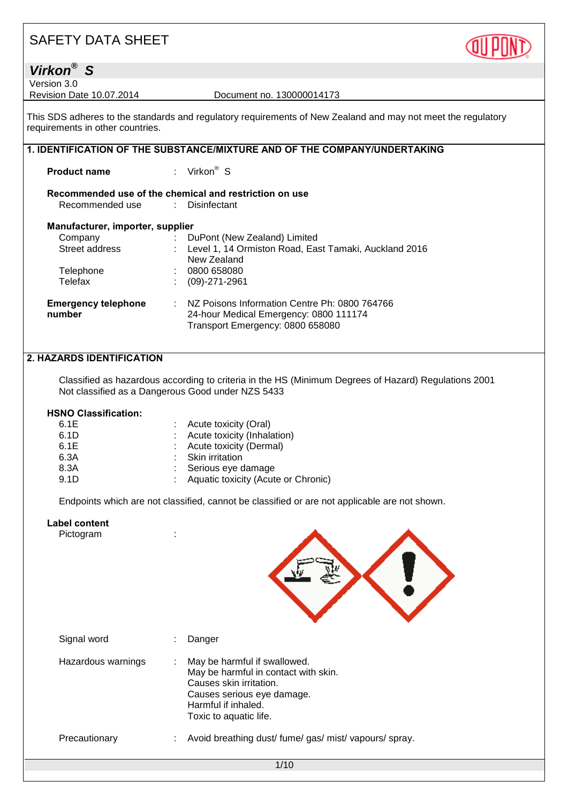

## *Virkon® S*

Version 3.0<br>Revision Date 10.07.2014

Document no. 130000014173

This SDS adheres to the standards and regulatory requirements of New Zealand and may not meet the regulatory requirements in other countries.

|                                      | 1. IDENTIFICATION OF THE SUBSTANCE/MIXTURE AND OF THE COMPANY/UNDERTAKING |                                                                                                                                          |  |
|--------------------------------------|---------------------------------------------------------------------------|------------------------------------------------------------------------------------------------------------------------------------------|--|
| <b>Product name</b>                  |                                                                           | : Virkon <sup>®</sup> S                                                                                                                  |  |
| Recommended use : Disinfectant       |                                                                           | Recommended use of the chemical and restriction on use                                                                                   |  |
| Manufacturer, importer, supplier     |                                                                           |                                                                                                                                          |  |
| Company                              |                                                                           | : DuPont (New Zealand) Limited                                                                                                           |  |
| Street address                       |                                                                           | : Level 1, 14 Ormiston Road, East Tamaki, Auckland 2016<br>New Zealand                                                                   |  |
| Telephone                            |                                                                           | : 0800658080                                                                                                                             |  |
| Telefax                              |                                                                           | $(09)-271-2961$                                                                                                                          |  |
| <b>Emergency telephone</b><br>number |                                                                           | $\therefore$ NZ Poisons Information Centre Ph: 0800 764766<br>24-hour Medical Emergency: 0800 111174<br>Transport Emergency: 0800 658080 |  |

### **2. HAZARDS IDENTIFICATION**

Classified as hazardous according to criteria in the HS (Minimum Degrees of Hazard) Regulations 2001 Not classified as a Dangerous Good under NZS 5433

#### **HSNO Classification:**

| : Acute toxicity (Oral)               |
|---------------------------------------|
| : Acute toxicity (Inhalation)         |
| : Acute toxicity (Dermal)             |
| : Skin irritation                     |
| : Serious eye damage                  |
| : Aquatic toxicity (Acute or Chronic) |
|                                       |

Endpoints which are not classified, cannot be classified or are not applicable are not shown.

#### **Label content**

| ∟מטכו טטוונסוונ<br>Pictogram |                                                                                                                                                                                     |  |
|------------------------------|-------------------------------------------------------------------------------------------------------------------------------------------------------------------------------------|--|
| Signal word                  | Danger                                                                                                                                                                              |  |
| Hazardous warnings           | May be harmful if swallowed.<br>÷<br>May be harmful in contact with skin.<br>Causes skin irritation.<br>Causes serious eye damage.<br>Harmful if inhaled.<br>Toxic to aquatic life. |  |
| Precautionary                | Avoid breathing dust/ fume/ gas/ mist/ vapours/ spray.                                                                                                                              |  |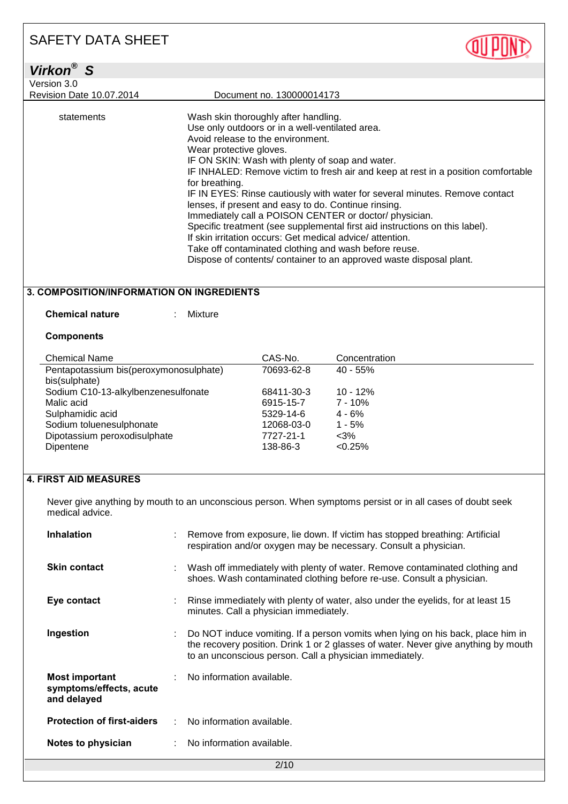| Virkon <sup>®</sup> S           |                                                                                   |
|---------------------------------|-----------------------------------------------------------------------------------|
| Version 3.0                     |                                                                                   |
| <b>Revision Date 10.07.2014</b> | Document no. 130000014173                                                         |
|                                 |                                                                                   |
| statements                      | Wash skin thoroughly after handling.                                              |
|                                 | Use only outdoors or in a well-ventilated area.                                   |
|                                 | Avoid release to the environment.                                                 |
|                                 | Wear protective gloves.                                                           |
|                                 | IF ON SKIN: Wash with plenty of soap and water.                                   |
|                                 | IF INHALED: Remove victim to fresh air and keep at rest in a position comfortable |
|                                 | for breathing.                                                                    |
|                                 | IF IN EYES: Rinse cautiously with water for several minutes. Remove contact       |
|                                 | lenses, if present and easy to do. Continue rinsing.                              |
|                                 | Immediately call a POISON CENTER or doctor/ physician.                            |
|                                 | Specific treatment (see supplemental first aid instructions on this label).       |
|                                 | If skin irritation occurs: Get medical advice/attention.                          |
|                                 | Take off contaminated clothing and wash before reuse.                             |
|                                 | Dispose of contents/ container to an approved waste disposal plant.               |

**OTTPINT** 

## **3. COMPOSITION/INFORMATION ON INGREDIENTS**

#### **Chemical nature : Mixture**

#### **Components**

| <b>Chemical Name</b>                   | CAS-No.    | Concentration |
|----------------------------------------|------------|---------------|
| Pentapotassium bis(peroxymonosulphate) | 70693-62-8 | $40 - 55%$    |
| bis(sulphate)                          |            |               |
| Sodium C10-13-alkylbenzenesulfonate    | 68411-30-3 | $10 - 12%$    |
| Malic acid                             | 6915-15-7  | $7 - 10%$     |
| Sulphamidic acid                       | 5329-14-6  | $4 - 6%$      |
| Sodium toluenesulphonate               | 12068-03-0 | $1 - 5%$      |
| Dipotassium peroxodisulphate           | 7727-21-1  | $<$ 3%        |
| Dipentene                              | 138-86-3   | < 0.25%       |
|                                        |            |               |

## **4. FIRST AID MEASURES**

Never give anything by mouth to an unconscious person. When symptoms persist or in all cases of doubt seek medical advice.

| <b>Inhalation</b>                                               |  | Remove from exposure, lie down. If victim has stopped breathing: Artificial<br>respiration and/or oxygen may be necessary. Consult a physician.                                                                                  |
|-----------------------------------------------------------------|--|----------------------------------------------------------------------------------------------------------------------------------------------------------------------------------------------------------------------------------|
| <b>Skin contact</b>                                             |  | Wash off immediately with plenty of water. Remove contaminated clothing and<br>shoes. Wash contaminated clothing before re-use. Consult a physician.                                                                             |
| Eye contact                                                     |  | Rinse immediately with plenty of water, also under the eyelids, for at least 15<br>minutes. Call a physician immediately.                                                                                                        |
| Ingestion                                                       |  | Do NOT induce vomiting. If a person vomits when lying on his back, place him in<br>the recovery position. Drink 1 or 2 glasses of water. Never give anything by mouth<br>to an unconscious person. Call a physician immediately. |
| <b>Most important</b><br>symptoms/effects, acute<br>and delayed |  | No information available.                                                                                                                                                                                                        |
| <b>Protection of first-aiders</b>                               |  | No information available.                                                                                                                                                                                                        |
| Notes to physician                                              |  | No information available.                                                                                                                                                                                                        |
| 2/10                                                            |  |                                                                                                                                                                                                                                  |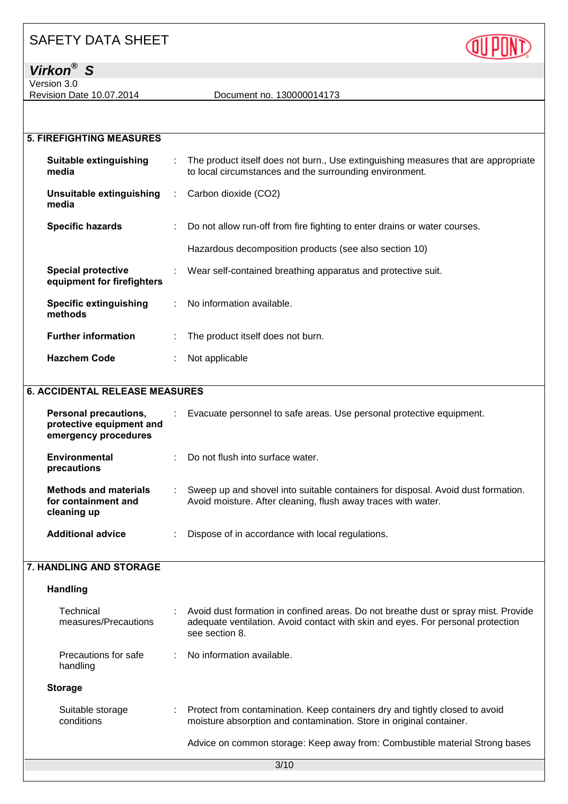

Version 3.0

Revision Date 10.07.2014 Document no. 130000014173

| <b>5. FIREFIGHTING MEASURES</b>                         |            |                                                                                                                                               |
|---------------------------------------------------------|------------|-----------------------------------------------------------------------------------------------------------------------------------------------|
| Suitable extinguishing<br>media                         | ÷.         | The product itself does not burn., Use extinguishing measures that are appropriate<br>to local circumstances and the surrounding environment. |
| Unsuitable extinguishing<br>media                       | $\sim 100$ | Carbon dioxide (CO2)                                                                                                                          |
| <b>Specific hazards</b>                                 | ÷.         | Do not allow run-off from fire fighting to enter drains or water courses.                                                                     |
|                                                         |            | Hazardous decomposition products (see also section 10)                                                                                        |
| <b>Special protective</b><br>equipment for firefighters |            | Wear self-contained breathing apparatus and protective suit.                                                                                  |
| <b>Specific extinguishing</b><br>methods                |            | : No information available.                                                                                                                   |
| <b>Further information</b>                              |            | The product itself does not burn.                                                                                                             |

## **6. ACCIDENTAL RELEASE MEASURES**

**Hazchem Code** : Not applicable

| <b>Personal precautions,</b><br>protective equipment and<br>emergency procedures | Evacuate personnel to safe areas. Use personal protective equipment.                                                                              |
|----------------------------------------------------------------------------------|---------------------------------------------------------------------------------------------------------------------------------------------------|
| Environmental<br>precautions                                                     | Do not flush into surface water.                                                                                                                  |
| <b>Methods and materials</b><br>for containment and<br>cleaning up               | Sweep up and shovel into suitable containers for disposal. Avoid dust formation.<br>Avoid moisture. After cleaning, flush away traces with water. |
| <b>Additional advice</b>                                                         | Dispose of in accordance with local regulations.                                                                                                  |

#### **7. HANDLING AND STORAGE**

| <b>Handling</b>                   |                                                                                                                                                                                         |
|-----------------------------------|-----------------------------------------------------------------------------------------------------------------------------------------------------------------------------------------|
| Technical<br>measures/Precautions | Avoid dust formation in confined areas. Do not breathe dust or spray mist. Provide<br>adequate ventilation. Avoid contact with skin and eyes. For personal protection<br>see section 8. |
| Precautions for safe<br>handling  | $\therefore$ No information available.                                                                                                                                                  |
| <b>Storage</b>                    |                                                                                                                                                                                         |
| Suitable storage<br>conditions    | Protect from contamination. Keep containers dry and tightly closed to avoid<br>moisture absorption and contamination. Store in original container.                                      |
|                                   | Advice on common storage: Keep away from: Combustible material Strong bases                                                                                                             |
|                                   | 3/10                                                                                                                                                                                    |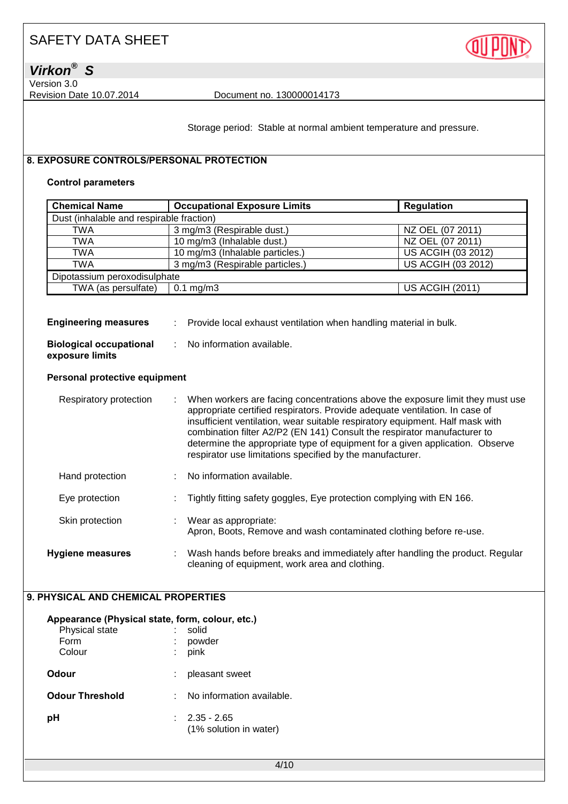

*Virkon® S*

Version 3.0

Revision Date 10.07.2014 Document no. 130000014173

Storage period: Stable at normal ambient temperature and pressure.

## **8. EXPOSURE CONTROLS/PERSONAL PROTECTION**

### **Control parameters**

| <b>Chemical Name</b>                     | <b>Occupational Exposure Limits</b><br><b>Regulation</b> |                           |  |  |
|------------------------------------------|----------------------------------------------------------|---------------------------|--|--|
| Dust (inhalable and respirable fraction) |                                                          |                           |  |  |
| TWA                                      | 3 mg/m3 (Respirable dust.)                               | NZ OEL (07 2011)          |  |  |
| <b>TWA</b>                               | 10 mg/m3 (Inhalable dust.)                               | NZ OEL (07 2011)          |  |  |
| <b>TWA</b>                               | 10 mg/m3 (Inhalable particles.)                          | <b>US ACGIH (03 2012)</b> |  |  |
| <b>TWA</b>                               | 3 mg/m3 (Respirable particles.)                          | US ACGIH (03 2012)        |  |  |
| Dipotassium peroxodisulphate             |                                                          |                           |  |  |
| TWA (as persulfate)                      | $0.1 \text{ mg/m}$ 3                                     | <b>US ACGIH (2011)</b>    |  |  |

| <b>Engineering measures</b>                       | Provide local exhaust ventilation when handling material in bulk. |
|---------------------------------------------------|-------------------------------------------------------------------|
| <b>Biological occupational</b><br>exposure limits | : No information available.                                       |

#### **Personal protective equipment**

| Respiratory protection  | When workers are facing concentrations above the exposure limit they must use<br>appropriate certified respirators. Provide adequate ventilation. In case of<br>insufficient ventilation, wear suitable respiratory equipment. Half mask with<br>combination filter A2/P2 (EN 141) Consult the respirator manufacturer to<br>determine the appropriate type of equipment for a given application. Observe<br>respirator use limitations specified by the manufacturer. |
|-------------------------|------------------------------------------------------------------------------------------------------------------------------------------------------------------------------------------------------------------------------------------------------------------------------------------------------------------------------------------------------------------------------------------------------------------------------------------------------------------------|
| Hand protection         | No information available.                                                                                                                                                                                                                                                                                                                                                                                                                                              |
| Eye protection          | Tightly fitting safety goggles, Eye protection complying with EN 166.                                                                                                                                                                                                                                                                                                                                                                                                  |
| Skin protection         | Wear as appropriate:<br>Apron, Boots, Remove and wash contaminated clothing before re-use.                                                                                                                                                                                                                                                                                                                                                                             |
| <b>Hygiene measures</b> | Wash hands before breaks and immediately after handling the product. Regular<br>cleaning of equipment, work area and clothing.                                                                                                                                                                                                                                                                                                                                         |

### **9. PHYSICAL AND CHEMICAL PROPERTIES**

| Appearance (Physical state, form, colour, etc.) |                                       |
|-------------------------------------------------|---------------------------------------|
| Physical state                                  | solid                                 |
| Form                                            | powder                                |
| Colour                                          | pink                                  |
| Odour                                           | pleasant sweet                        |
| <b>Odour Threshold</b>                          | No information available.             |
| рH                                              | 2.35 - 2.65<br>(1% solution in water) |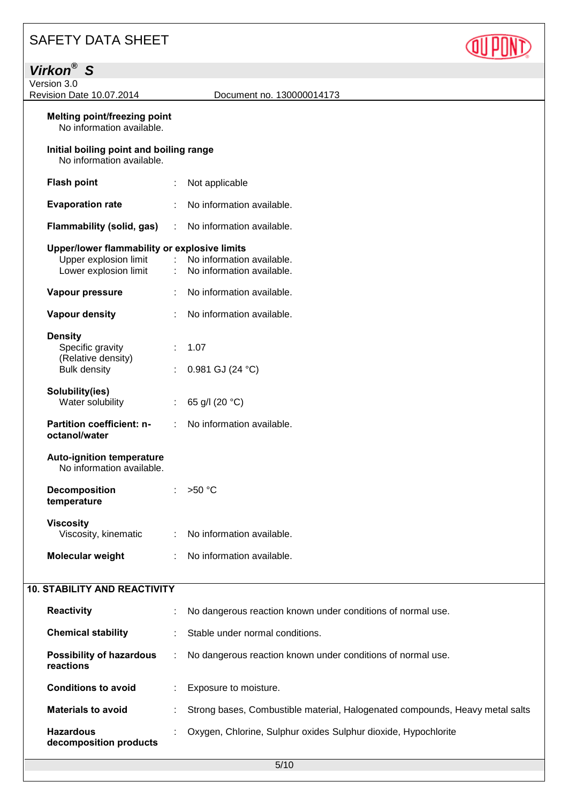| <b>SAFETY DATA SHEET</b>                                                                       |                                  |                                                                              |  |
|------------------------------------------------------------------------------------------------|----------------------------------|------------------------------------------------------------------------------|--|
| Virkon <sup>®</sup> S                                                                          |                                  |                                                                              |  |
| Version 3.0<br>Revision Date 10.07.2014                                                        |                                  | Document no. 130000014173                                                    |  |
| <b>Melting point/freezing point</b><br>No information available.                               |                                  |                                                                              |  |
| Initial boiling point and boiling range<br>No information available.                           |                                  |                                                                              |  |
| <b>Flash point</b>                                                                             |                                  | Not applicable                                                               |  |
| <b>Evaporation rate</b>                                                                        |                                  | No information available.                                                    |  |
| <b>Flammability (solid, gas)</b>                                                               | ÷                                | No information available.                                                    |  |
| Upper/lower flammability or explosive limits<br>Upper explosion limit<br>Lower explosion limit | $\mathcal{L}^{\mathcal{L}}$<br>÷ | No information available.<br>No information available.                       |  |
| Vapour pressure                                                                                |                                  | No information available.                                                    |  |
| <b>Vapour density</b>                                                                          |                                  | No information available.                                                    |  |
| <b>Density</b><br>Specific gravity<br>(Relative density)                                       |                                  | 1.07                                                                         |  |
| <b>Bulk density</b>                                                                            |                                  | 0.981 GJ (24 °C)                                                             |  |
| Solubility(ies)<br>Water solubility                                                            | ÷.                               | 65 g/l (20 °C)                                                               |  |
| <b>Partition coefficient: n-</b><br>octanol/water                                              |                                  | No information available.                                                    |  |
| <b>Auto-ignition temperature</b><br>No information available.                                  |                                  |                                                                              |  |
| <b>Decomposition</b><br>temperature                                                            |                                  | $>50^{\circ}$ C                                                              |  |
| <b>Viscosity</b><br>Viscosity, kinematic                                                       | ÷                                | No information available.                                                    |  |
| Molecular weight                                                                               | ÷                                | No information available.                                                    |  |
| <b>10. STABILITY AND REACTIVITY</b>                                                            |                                  |                                                                              |  |
| <b>Reactivity</b>                                                                              |                                  | No dangerous reaction known under conditions of normal use.                  |  |
| <b>Chemical stability</b>                                                                      |                                  | Stable under normal conditions.                                              |  |
| <b>Possibility of hazardous</b><br>reactions                                                   | ÷                                | No dangerous reaction known under conditions of normal use.                  |  |
| <b>Conditions to avoid</b>                                                                     |                                  | Exposure to moisture.                                                        |  |
| <b>Materials to avoid</b>                                                                      |                                  | Strong bases, Combustible material, Halogenated compounds, Heavy metal salts |  |
| <b>Hazardous</b><br>decomposition products                                                     |                                  | Oxygen, Chlorine, Sulphur oxides Sulphur dioxide, Hypochlorite               |  |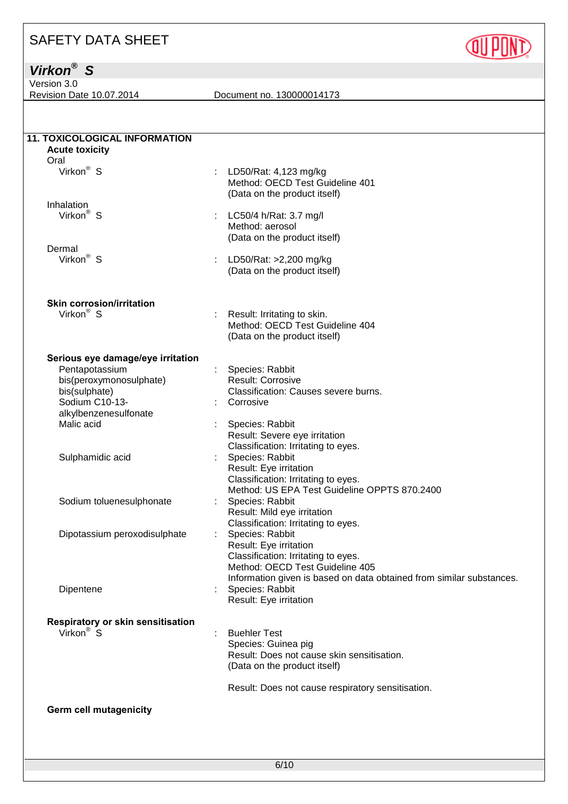## *Virkon® S*

Version 3.0

Revision Date 10.07.2014 Document no. 130000014173

**QUIPOND** 

| <b>11. TOXICOLOGICAL INFORMATION</b>                         |                                                                      |
|--------------------------------------------------------------|----------------------------------------------------------------------|
| <b>Acute toxicity</b>                                        |                                                                      |
| Oral                                                         |                                                                      |
| Virkon <sup>®</sup> S                                        | ÷<br>LD50/Rat: 4,123 mg/kg                                           |
|                                                              | Method: OECD Test Guideline 401                                      |
|                                                              | (Data on the product itself)                                         |
| Inhalation                                                   |                                                                      |
| Virkon <sup>®</sup> S                                        | LC50/4 h/Rat: 3.7 mg/l                                               |
|                                                              | Method: aerosol                                                      |
|                                                              | (Data on the product itself)                                         |
|                                                              |                                                                      |
| Dermal                                                       |                                                                      |
| Virkon <sup>®</sup> S                                        | LD50/Rat: >2,200 mg/kg                                               |
|                                                              | (Data on the product itself)                                         |
|                                                              |                                                                      |
| <b>Skin corrosion/irritation</b>                             |                                                                      |
| Virkon <sup>®</sup> S                                        | Result: Irritating to skin.                                          |
|                                                              | Method: OECD Test Guideline 404                                      |
|                                                              | (Data on the product itself)                                         |
| Serious eye damage/eye irritation                            |                                                                      |
| Pentapotassium                                               | Species: Rabbit                                                      |
|                                                              |                                                                      |
| bis(peroxymonosulphate)                                      | Result: Corrosive                                                    |
| bis(sulphate)                                                | Classification: Causes severe burns.                                 |
| Sodium C10-13-                                               | Corrosive                                                            |
| alkylbenzenesulfonate                                        |                                                                      |
| Malic acid                                                   | Species: Rabbit                                                      |
|                                                              | Result: Severe eye irritation                                        |
|                                                              | Classification: Irritating to eyes.                                  |
| Sulphamidic acid                                             | Species: Rabbit                                                      |
|                                                              | Result: Eye irritation                                               |
|                                                              | Classification: Irritating to eyes.                                  |
|                                                              | Method: US EPA Test Guideline OPPTS 870.2400                         |
| Sodium toluenesulphonate                                     | Species: Rabbit                                                      |
|                                                              |                                                                      |
|                                                              | Result: Mild eye irritation                                          |
|                                                              | Classification: Irritating to eyes.                                  |
| Dipotassium peroxodisulphate                                 | Species: Rabbit                                                      |
|                                                              | Result: Eye irritation                                               |
|                                                              | Classification: Irritating to eyes.                                  |
|                                                              | Method: OECD Test Guideline 405                                      |
|                                                              | Information given is based on data obtained from similar substances. |
| Dipentene                                                    | Species: Rabbit                                                      |
|                                                              | Result: Eye irritation                                               |
|                                                              |                                                                      |
| Respiratory or skin sensitisation<br>Virkon <sup>®</sup> $S$ |                                                                      |
|                                                              | <b>Buehler Test</b>                                                  |
|                                                              | Species: Guinea pig                                                  |
|                                                              | Result: Does not cause skin sensitisation.                           |
|                                                              | (Data on the product itself)                                         |
|                                                              | Result: Does not cause respiratory sensitisation.                    |
| <b>Germ cell mutagenicity</b>                                |                                                                      |
|                                                              |                                                                      |
|                                                              |                                                                      |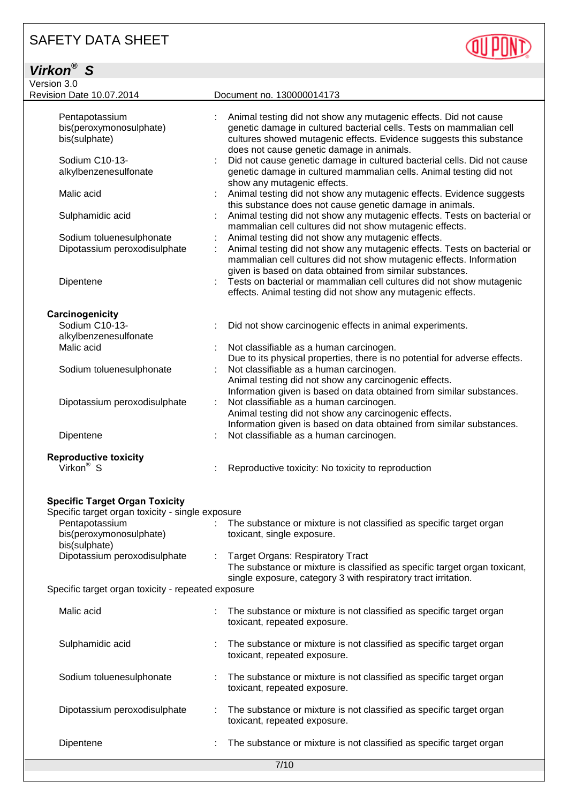| Virkon <sup>®</sup> S                                                                     |                                                                                                                                                                                                                                                             |
|-------------------------------------------------------------------------------------------|-------------------------------------------------------------------------------------------------------------------------------------------------------------------------------------------------------------------------------------------------------------|
| Version 3.0                                                                               |                                                                                                                                                                                                                                                             |
| Revision Date 10.07.2014                                                                  | Document no. 130000014173                                                                                                                                                                                                                                   |
| Pentapotassium<br>bis(peroxymonosulphate)<br>bis(sulphate)                                | Animal testing did not show any mutagenic effects. Did not cause<br>genetic damage in cultured bacterial cells. Tests on mammalian cell<br>cultures showed mutagenic effects. Evidence suggests this substance<br>does not cause genetic damage in animals. |
| Sodium C10-13-<br>alkylbenzenesulfonate                                                   | Did not cause genetic damage in cultured bacterial cells. Did not cause<br>genetic damage in cultured mammalian cells. Animal testing did not<br>show any mutagenic effects.                                                                                |
| Malic acid                                                                                | Animal testing did not show any mutagenic effects. Evidence suggests<br>this substance does not cause genetic damage in animals.                                                                                                                            |
| Sulphamidic acid                                                                          | Animal testing did not show any mutagenic effects. Tests on bacterial or<br>mammalian cell cultures did not show mutagenic effects.                                                                                                                         |
| Sodium toluenesulphonate                                                                  | Animal testing did not show any mutagenic effects.                                                                                                                                                                                                          |
| Dipotassium peroxodisulphate                                                              | Animal testing did not show any mutagenic effects. Tests on bacterial or<br>mammalian cell cultures did not show mutagenic effects. Information<br>given is based on data obtained from similar substances.                                                 |
| Dipentene                                                                                 | Tests on bacterial or mammalian cell cultures did not show mutagenic<br>effects. Animal testing did not show any mutagenic effects.                                                                                                                         |
| Carcinogenicity                                                                           |                                                                                                                                                                                                                                                             |
| Sodium C10-13-<br>alkylbenzenesulfonate                                                   | Did not show carcinogenic effects in animal experiments.                                                                                                                                                                                                    |
| Malic acid                                                                                | Not classifiable as a human carcinogen.<br>Due to its physical properties, there is no potential for adverse effects.                                                                                                                                       |
| Sodium toluenesulphonate                                                                  | Not classifiable as a human carcinogen.<br>Animal testing did not show any carcinogenic effects.<br>Information given is based on data obtained from similar substances.                                                                                    |
| Dipotassium peroxodisulphate                                                              | Not classifiable as a human carcinogen.<br>Animal testing did not show any carcinogenic effects.<br>Information given is based on data obtained from similar substances.                                                                                    |
| Dipentene                                                                                 | Not classifiable as a human carcinogen.                                                                                                                                                                                                                     |
|                                                                                           |                                                                                                                                                                                                                                                             |
| Reproductive toxicity<br>Virkon <sup>®</sup> S                                            | Reproductive toxicity: No toxicity to reproduction                                                                                                                                                                                                          |
| <b>Specific Target Organ Toxicity</b><br>Specific target organ toxicity - single exposure |                                                                                                                                                                                                                                                             |
| Pentapotassium                                                                            | The substance or mixture is not classified as specific target organ                                                                                                                                                                                         |
| bis(peroxymonosulphate)<br>bis(sulphate)                                                  | toxicant, single exposure.                                                                                                                                                                                                                                  |
| Dipotassium peroxodisulphate<br>Specific target organ tovicity - repeated experime        | <b>Target Organs: Respiratory Tract</b><br>The substance or mixture is classified as specific target organ toxicant,<br>single exposure, category 3 with respiratory tract irritation.                                                                      |

**QUIPONT** 

Specific target organ toxicity - repeated exposure

| Malic acid                   | The substance or mixture is not classified as specific target organ<br>toxicant, repeated exposure. |  |
|------------------------------|-----------------------------------------------------------------------------------------------------|--|
| Sulphamidic acid             | The substance or mixture is not classified as specific target organ<br>toxicant, repeated exposure. |  |
| Sodium toluenesulphonate     | The substance or mixture is not classified as specific target organ<br>toxicant, repeated exposure. |  |
| Dipotassium peroxodisulphate | The substance or mixture is not classified as specific target organ<br>toxicant, repeated exposure. |  |
| Dipentene                    | The substance or mixture is not classified as specific target organ                                 |  |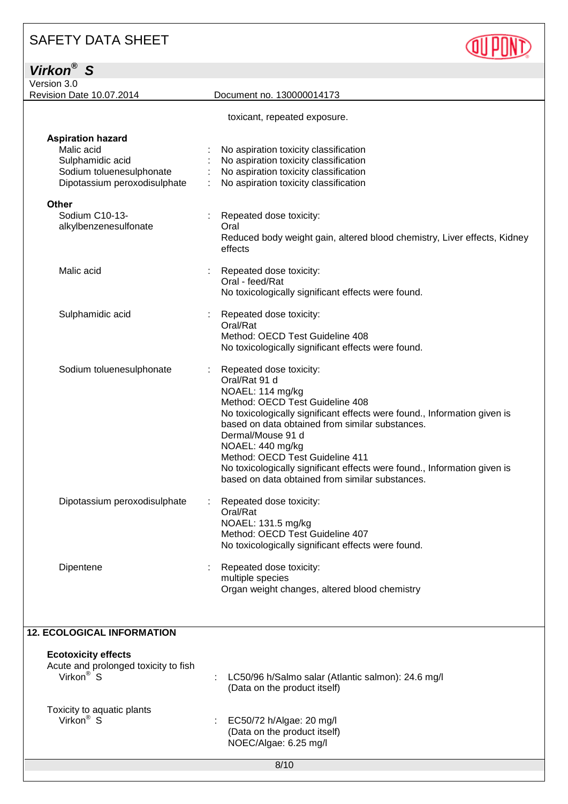*Virkon® S*

| Version 3.0                                                                                                            |                                                                                                                                                                                                                                                                                                                                                                                                                                           |
|------------------------------------------------------------------------------------------------------------------------|-------------------------------------------------------------------------------------------------------------------------------------------------------------------------------------------------------------------------------------------------------------------------------------------------------------------------------------------------------------------------------------------------------------------------------------------|
| Revision Date 10.07.2014                                                                                               | Document no. 130000014173                                                                                                                                                                                                                                                                                                                                                                                                                 |
|                                                                                                                        | toxicant, repeated exposure.                                                                                                                                                                                                                                                                                                                                                                                                              |
| <b>Aspiration hazard</b><br>Malic acid<br>Sulphamidic acid<br>Sodium toluenesulphonate<br>Dipotassium peroxodisulphate | No aspiration toxicity classification<br>No aspiration toxicity classification<br>No aspiration toxicity classification<br>No aspiration toxicity classification                                                                                                                                                                                                                                                                          |
| Other                                                                                                                  |                                                                                                                                                                                                                                                                                                                                                                                                                                           |
| Sodium C10-13-<br>alkylbenzenesulfonate                                                                                | Repeated dose toxicity:<br>Oral<br>Reduced body weight gain, altered blood chemistry, Liver effects, Kidney<br>effects                                                                                                                                                                                                                                                                                                                    |
| Malic acid                                                                                                             | Repeated dose toxicity:<br>Oral - feed/Rat<br>No toxicologically significant effects were found.                                                                                                                                                                                                                                                                                                                                          |
| Sulphamidic acid                                                                                                       | Repeated dose toxicity:<br>Oral/Rat<br>Method: OECD Test Guideline 408<br>No toxicologically significant effects were found.                                                                                                                                                                                                                                                                                                              |
| Sodium toluenesulphonate                                                                                               | Repeated dose toxicity:<br>Oral/Rat 91 d<br>NOAEL: 114 mg/kg<br>Method: OECD Test Guideline 408<br>No toxicologically significant effects were found., Information given is<br>based on data obtained from similar substances.<br>Dermal/Mouse 91 d<br>NOAEL: 440 mg/kg<br>Method: OECD Test Guideline 411<br>No toxicologically significant effects were found., Information given is<br>based on data obtained from similar substances. |
| Dipotassium peroxodisulphate                                                                                           | Repeated dose toxicity:<br>Oral/Rat<br>NOAEL: 131.5 mg/kg<br>Method: OECD Test Guideline 407<br>No toxicologically significant effects were found.                                                                                                                                                                                                                                                                                        |
| Dipentene                                                                                                              | Repeated dose toxicity:<br>multiple species<br>Organ weight changes, altered blood chemistry                                                                                                                                                                                                                                                                                                                                              |
| <b>12. ECOLOGICAL INFORMATION</b>                                                                                      |                                                                                                                                                                                                                                                                                                                                                                                                                                           |
| <b>Ecotoxicity effects</b><br>Acute and prolonged toxicity to fish<br>Virkon <sup>®</sup> S                            | LC50/96 h/Salmo salar (Atlantic salmon): 24.6 mg/l<br>(Data on the product itself)                                                                                                                                                                                                                                                                                                                                                        |
| Toxicity to aquatic plants<br>Virkon <sup>®</sup> S                                                                    | EC50/72 h/Algae: 20 mg/l                                                                                                                                                                                                                                                                                                                                                                                                                  |

**QUPOND** 

(Data on the product itself) NOEC/Algae: 6.25 mg/l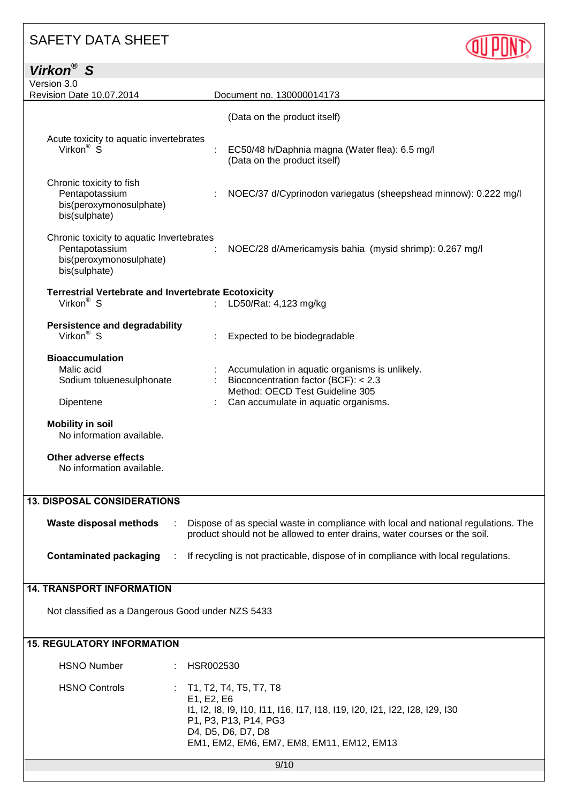| <b>SAFETY DATA SHEET</b>                                                                                |                                                                                                                                                                 |  |
|---------------------------------------------------------------------------------------------------------|-----------------------------------------------------------------------------------------------------------------------------------------------------------------|--|
| Virkon <sup>®</sup> S                                                                                   |                                                                                                                                                                 |  |
| Version 3.0<br>Revision Date 10.07.2014                                                                 | Document no. 130000014173                                                                                                                                       |  |
| Acute toxicity to aquatic invertebrates                                                                 | (Data on the product itself)                                                                                                                                    |  |
| Virkon <sup>®</sup> $\overline{S}$                                                                      | EC50/48 h/Daphnia magna (Water flea): 6.5 mg/l<br>(Data on the product itself)                                                                                  |  |
| Chronic toxicity to fish<br>Pentapotassium<br>bis(peroxymonosulphate)<br>bis(sulphate)                  | NOEC/37 d/Cyprinodon variegatus (sheepshead minnow): 0.222 mg/l                                                                                                 |  |
| Chronic toxicity to aquatic Invertebrates<br>Pentapotassium<br>bis(peroxymonosulphate)<br>bis(sulphate) | NOEC/28 d/Americamysis bahia (mysid shrimp): 0.267 mg/l                                                                                                         |  |
| <b>Terrestrial Vertebrate and Invertebrate Ecotoxicity</b><br>Virkon <sup>®</sup> S                     | LD50/Rat: 4,123 mg/kg                                                                                                                                           |  |
| <b>Persistence and degradability</b><br>Virkon <sup>®</sup> S                                           | Expected to be biodegradable                                                                                                                                    |  |
| <b>Bioaccumulation</b><br>Malic acid                                                                    | Accumulation in aquatic organisms is unlikely.                                                                                                                  |  |
| Sodium toluenesulphonate                                                                                | Bioconcentration factor (BCF): < 2.3<br>Method: OECD Test Guideline 305                                                                                         |  |
| Dipentene                                                                                               | Can accumulate in aquatic organisms.                                                                                                                            |  |
| <b>Mobility in soil</b><br>No information available.                                                    |                                                                                                                                                                 |  |
| Other adverse effects<br>No information available.                                                      |                                                                                                                                                                 |  |
| <b>13. DISPOSAL CONSIDERATIONS</b>                                                                      |                                                                                                                                                                 |  |
| <b>Waste disposal methods</b>                                                                           | Dispose of as special waste in compliance with local and national regulations. The<br>product should not be allowed to enter drains, water courses or the soil. |  |
| <b>Contaminated packaging</b>                                                                           | If recycling is not practicable, dispose of in compliance with local regulations.                                                                               |  |
| <b>14. TRANSPORT INFORMATION</b>                                                                        |                                                                                                                                                                 |  |
| Not classified as a Dangerous Good under NZS 5433                                                       |                                                                                                                                                                 |  |
| <b>15. REGULATORY INFORMATION</b>                                                                       |                                                                                                                                                                 |  |
| <b>HSNO Number</b>                                                                                      | HSR002530                                                                                                                                                       |  |
| <b>HSNO Controls</b>                                                                                    | T1, T2, T4, T5, T7, T8<br>E1, E2, E6                                                                                                                            |  |

I1, I2, I8, I9, I10, I11, I16, I17, I18, I19, I20, I21, I22, I28, I29, I30 P1, P3, P13, P14, PG3

D4, D5, D6, D7, D8 EM1, EM2, EM6, EM7, EM8, EM11, EM12, EM13

9/10